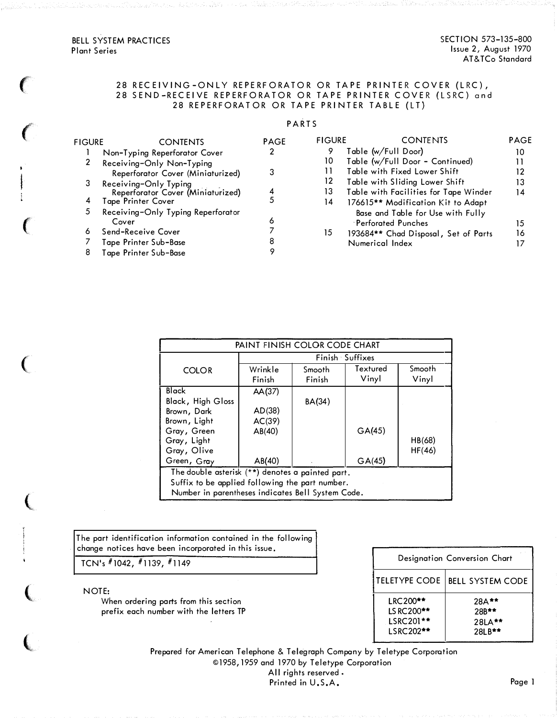$\epsilon$ 

 $\big($ 

 $\big($ 

(

(

 $\overline{\mathbf{C}}$ 

 $\frac{1}{2}$ 

 $\big($ 

## 28 RECEIVING-ONLY REPERFORATOR OR TAPE PRINTER COVER (LRC), 28 SEND-RECEIVE REPERFORATOR OR TAPE PRINTER COVER (LSRC) and 28 REPERFORATOR OR TAPE PRINTER TABLE (LT)

## **PARTS**

| <b>FIGURE</b> | <b>CONTENTS</b>                    | <b>PAGE</b> | <b>FIGURE</b> | <b>CONTENTS</b>                       | <b>PAGE</b> |
|---------------|------------------------------------|-------------|---------------|---------------------------------------|-------------|
|               | Non-Typing Reperforator Cover      |             | 9             | Table (w/Full Door)                   | 10          |
|               | Receiving-Only Non-Typing          |             | 10            | Table (w/Full Door - Continued)       |             |
|               | Reperforator Cover (Miniaturized)  |             |               | Table with Fixed Lower Shift          |             |
| З             | Receiving-Only Typing              |             | 12            | Table with Sliding Lower Shift        | 13          |
|               | Reperforator Cover (Miniaturized)  |             | 13            | Table with Facilities for Tape Winder | 14          |
| 4             | Tape Printer Cover                 |             | 14            | 176615** Modification Kit to Adapt    |             |
| 5             | Receiving-Only Typing Reperforator |             |               | Base and Table for Use with Fully     |             |
|               | Cover                              | o           |               | <b>Perforated Punches</b>             | 15          |
| ٥             | Send-Receive Cover                 |             | 15            | 193684** Chad Disposal, Set of Parts  | 16          |
|               | Tape Printer Sub-Base              |             |               | Numerical Index                       |             |
| 8             | Tape Printer Sub–Base              |             |               |                                       |             |

| PAINT FINISH COLOR CODE CHART                     |                   |                  |                   |                 |  |  |  |
|---------------------------------------------------|-------------------|------------------|-------------------|-----------------|--|--|--|
| Finish Suffixes                                   |                   |                  |                   |                 |  |  |  |
| <b>COLOR</b>                                      | Wrinkle<br>Finish | Smooth<br>Finish | Textured<br>Vinyl | Smooth<br>Vinyl |  |  |  |
|                                                   |                   |                  |                   |                 |  |  |  |
| Black                                             | AA(37)            |                  |                   |                 |  |  |  |
| Black, High Gloss                                 |                   | BA(34)           |                   |                 |  |  |  |
| Brown, Dark                                       | AD(38)            |                  |                   |                 |  |  |  |
| Brown, Light                                      | AC(39)            |                  |                   |                 |  |  |  |
| Gray, Green                                       | AB(40)            |                  | GA(45)            |                 |  |  |  |
| Gray, Light                                       |                   |                  |                   | HB(68)          |  |  |  |
| Gray, Olive                                       |                   |                  |                   | HF(46)          |  |  |  |
| Green, Gray                                       | AB(40)            |                  | GA(45)            |                 |  |  |  |
| The double asterisk (**) denotes a painted part.  |                   |                  |                   |                 |  |  |  |
| Suffix to be applied following the part number.   |                   |                  |                   |                 |  |  |  |
| Number in parentheses indicates Bell System Code. |                   |                  |                   |                 |  |  |  |

The port identification information contained in the following change notices hove been incorporated in this issue.

TCN's #1042, #1139, #1149

NOTE:

When ordering ports from this section prefix each number with the letters TP

Prepared for American Telephone & Telegraph Company by Teletype Corporation ©1958 , 1959 and 1970 by Teletype Corporation All rights reserved. Printed in U.S.A.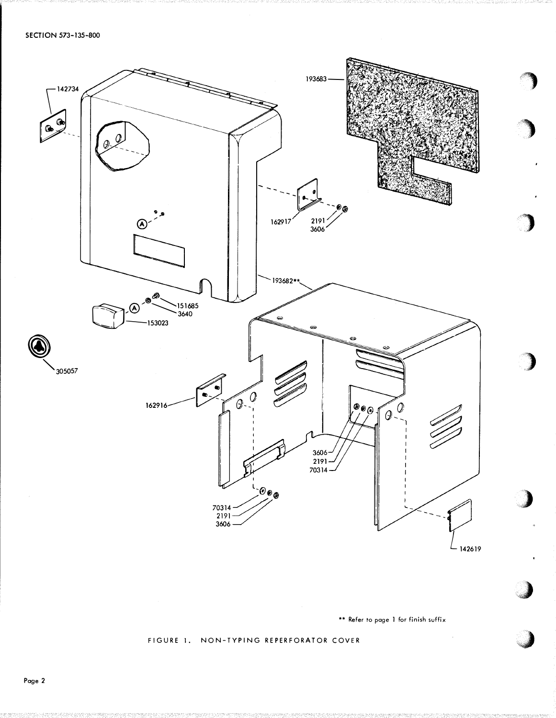

\*\* Refer to page 1 for finish suffix

FIGURE 1. NON-TYPING REPERFORATOR COVER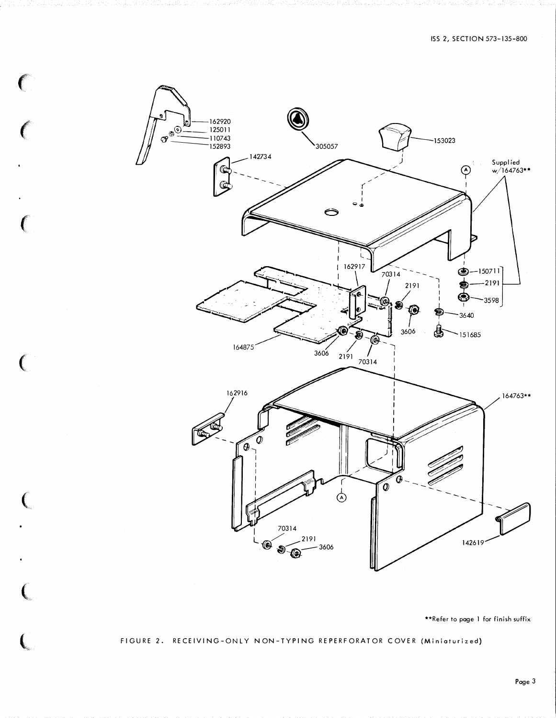

 $\big($ 

 $\mathcal{C}$ 

\*\*Refer to page 1 for finish suffix

#### FIGURE 2. RECEIVING-ONLY NON-TYPING REPERFORATOR COVER (Miniaturized)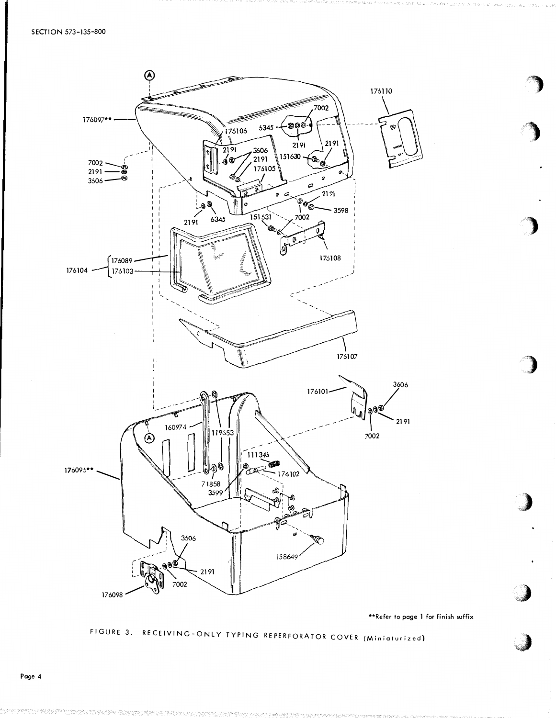

\*\*Refer to page 1 for finish suffix

# FIGURE 3. RECEIVING-ONLY TYPING REPERFORATOR COVER (Miniaturized)

Page 4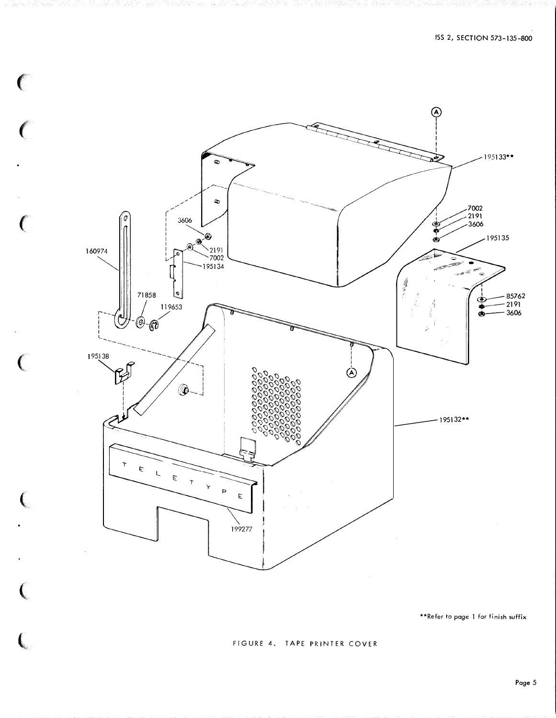

C

 $\mathcal{C}$ 

€

 $\overline{C}$ 

 $\left($ 

\*\*Refer to page 1 for finish suffix

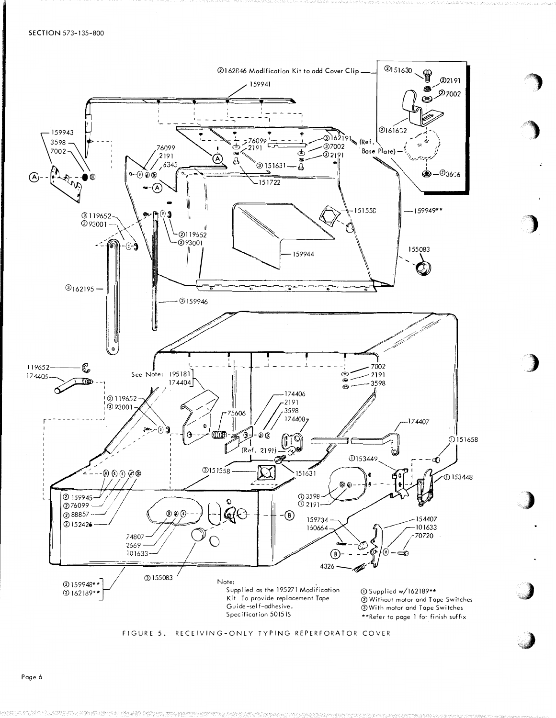



Page 6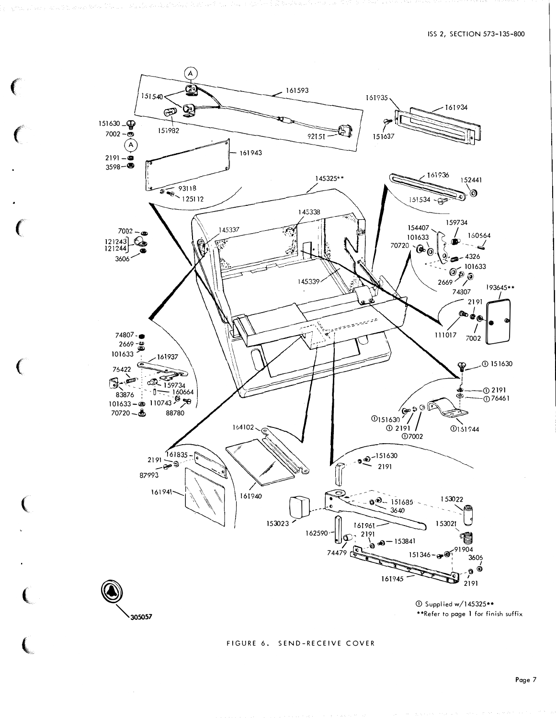

305057

145325\*\* \*\*Refer to page 1 for finish suffix

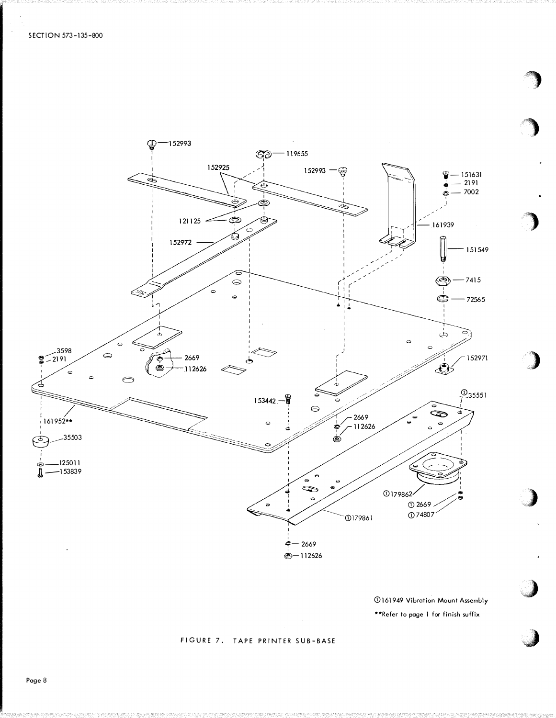

**161949 Vibration Mount Assembly** \*\*Refer to page 1 for finish suffix

# FIGURE 7. TAPE PRINTER SUB-BASE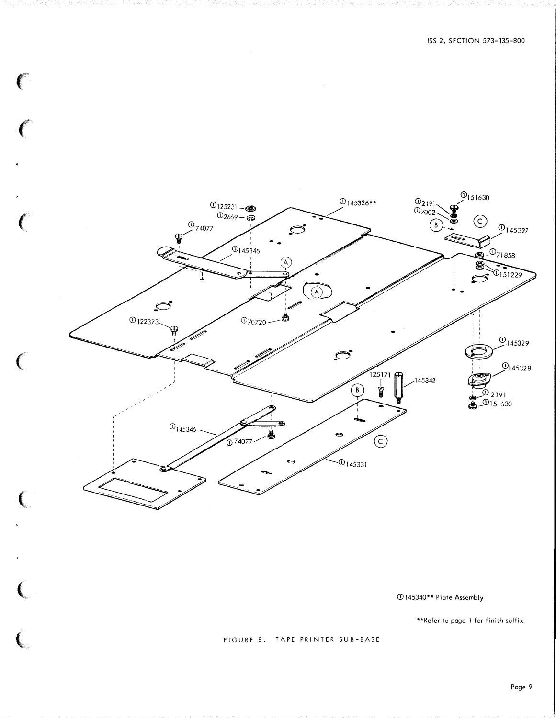

<D 145340\*\* Plate Assembly

\*\*Refer to page 1 for finish suffix

FIGURE 8. TAPE PRINTER SUB-BASE

 $\overline{\mathbf{C}}$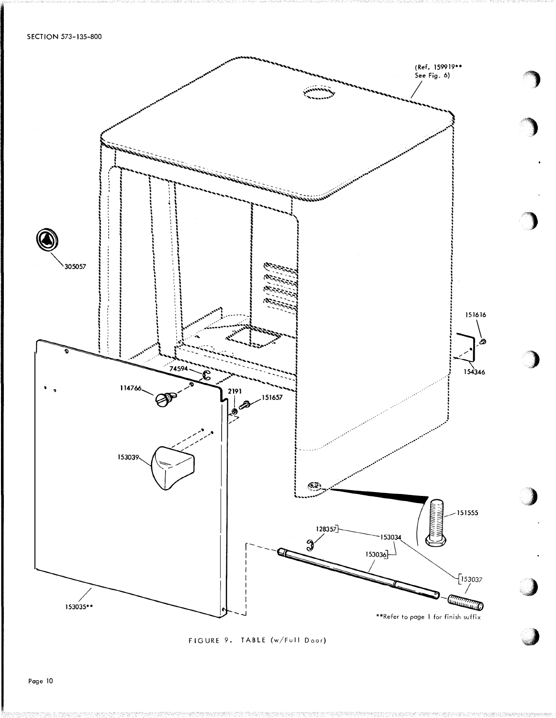

# FIGURE 9. TABLE (w/Full Door)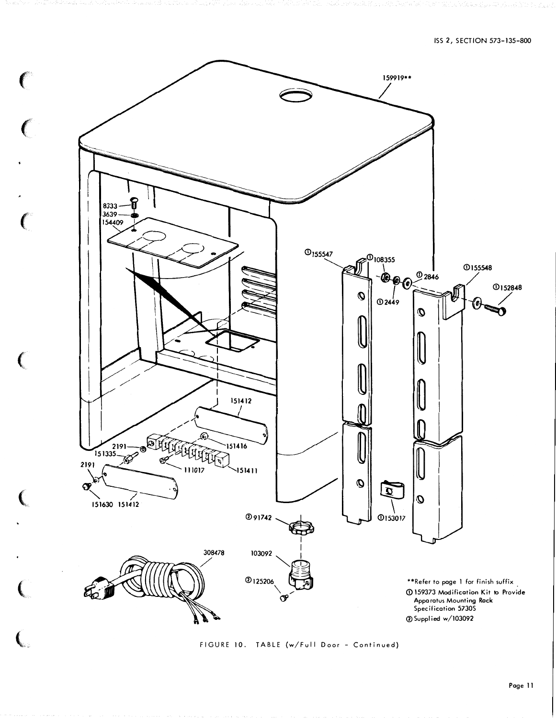

FIGURE 10. TABLE (w/Full Door - Continued)

 $\overline{\mathbf{C}}$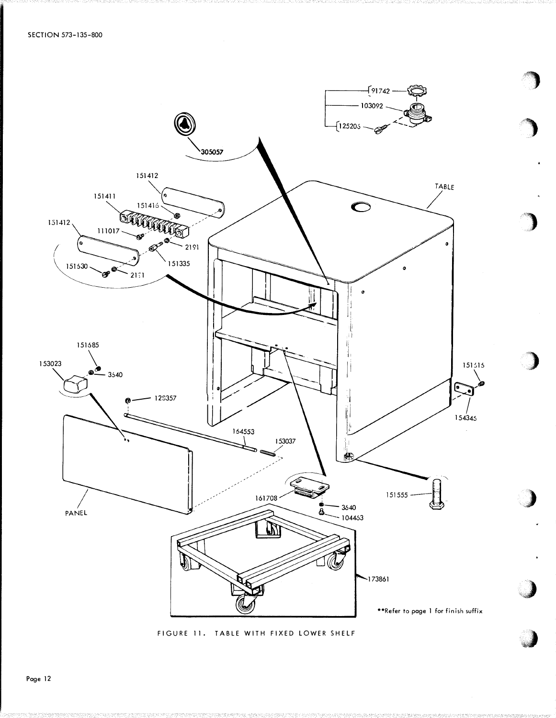

FIGURE 11. TABLE WITH FIXED LOWER SHELF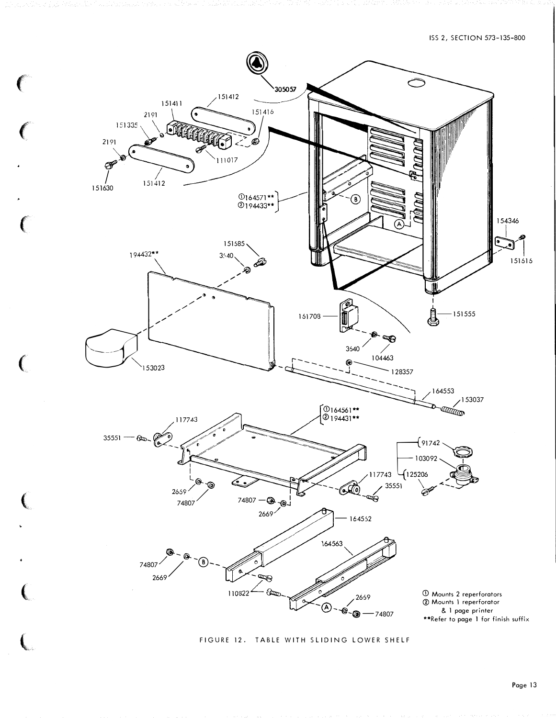

€

FIGURE 12. TABLE WITH SLIDING LOWER SHELF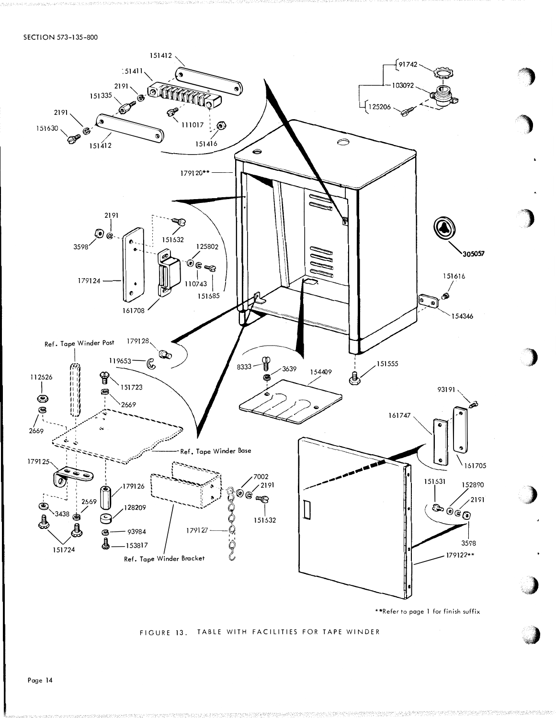

FIGURE 13. TABLE WITH FACILITIES FOR TAPE WINDER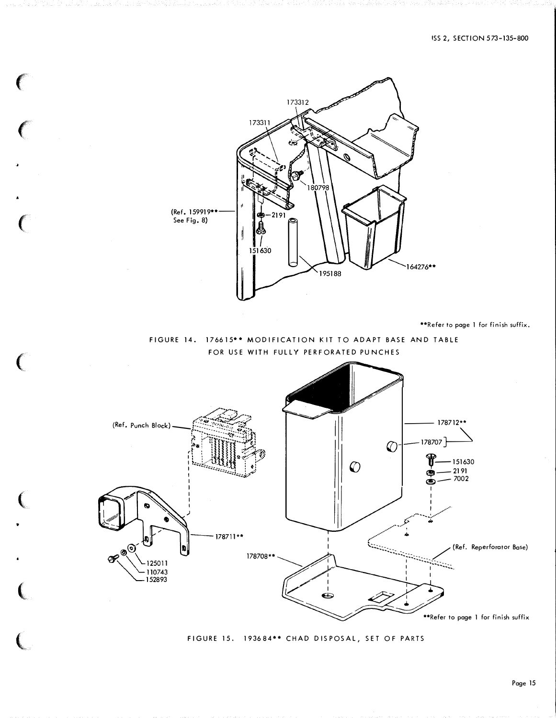#### ISS 2, SECTION 573-135-800



\*\*Refer to page 1 for finish suffix.

FIGURE 14. 176615\*\* MODIFICATION KIT TO ADAPT BASE AND TABLE FOR USE WITH FULLY PERFORATED PUNCHES



FIGURE 15. 193684\*\* CHAD DISPOSAL, SET OF PARTS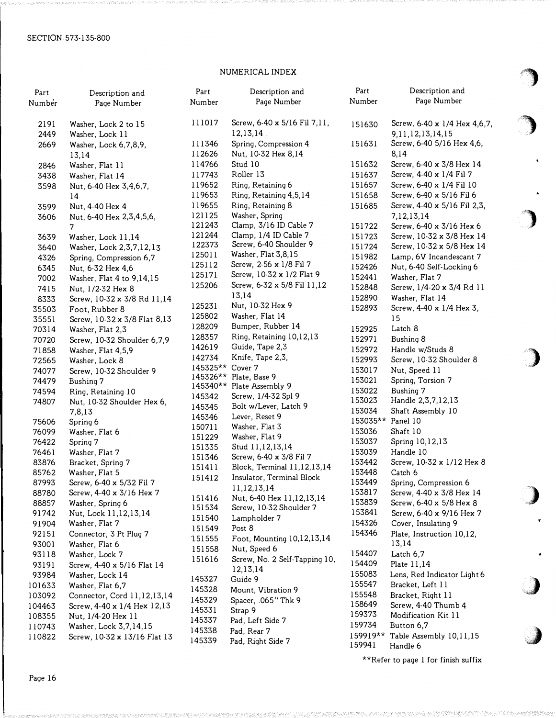# NUMERICAL INDEX

| Part<br>Number | Description and<br>Page Number | Part<br>Number   | Description and<br>Page Number | Part<br>Number | Description and<br>Page Number |    |
|----------------|--------------------------------|------------------|--------------------------------|----------------|--------------------------------|----|
| 2191           | Washer, Lock 2 to 15           | 111017           | Screw, 6-40 x 5/16 Fil 7,11,   | 151630         | Screw, 6-40 x 1/4 Hex 4,6,7,   |    |
| 2449           | Washer, Lock 11                |                  | 12,13,14                       |                | 9,11,12,13,14,15               |    |
| 2669           | Washer, Lock 6,7,8,9,          | 111346           | Spring, Compression 4          | 151631         | Screw, 6-40 5/16 Hex 4,6,      |    |
|                | 13,14                          | 112626           | Nut, 10-32 Hex 8,14            |                | 8,14                           |    |
| 2846           | Washer, Flat 11                | 114766           | Stud 10                        | 151632         | Screw, 6-40 x 3/8 Hex 14       |    |
| 3438           | Washer, Flat 14                | 117743           | Roller 13                      | 151637         | Screw, 4-40 x 1/4 Fil 7        |    |
| 3598           | Nut, 6-40 Hex 3,4,6,7,         | 119652           | Ring, Retaining 6              | 151657         | Screw, 6-40 x 1/4 Fil 10       |    |
|                | 14                             | 119653           | Ring, Retaining 4,5,14         | 151658         | Screw, 6-40 x 5/16 Fil 6       |    |
| 3599           | Nut, 4-40 Hex 4                | 119655           | Ring, Retaining 8              | 151685         | Screw, 4-40 x 5/16 Fil 2,3,    |    |
| 3606           | Nut, 6-40 Hex 2, 3, 4, 5, 6,   | 121125           | Washer, Spring                 |                | 7,12,13,14                     |    |
|                | 7                              | 121243           | Clamp, 3/16 ID Cable 7         | 151722         | Screw, 6-40 x 3/16 Hex 6       |    |
| 3639           | Washer, Lock 11,14             | 121244           | Clamp, 1/4 ID Cable 7          | 151723         | Screw, 10-32 x 3/8 Hex 14      |    |
| 3640           | Washer, Lock 2,3,7,12,13       | 122373           | Screw, 6-40 Shoulder 9         | 151724         | Screw, 10-32 x 5/8 Hex 14      |    |
| 4326           | Spring, Compression 6,7        | 125011           | Washer, Flat 3,8,15            | 151982         | Lamp, 6V Incandescant 7        |    |
| 6345           | Nut, 6-32 Hex 4,6              | 125112           | Screw, 2-56 x 1/8 Fil 7        | 152426         | Nut, 6-40 Self-Locking 6       |    |
| 7002           | Washer, Flat 4 to 9,14,15      | 125171           | Screw, 10-32 x 1/2 Flat 9      | 152441         | Washer, Flat 7                 |    |
| 7415           | Nut, 1/2-32 Hex 8              | 125206           | Screw, 6-32 x 5/8 Fil 11,12    | 152848         | Screw, 1/4-20 x 3/4 Rd 11      |    |
| 8333           | Screw, 10-32 x 3/8 Rd 11,14    |                  | 13,14                          | 152890         | Washer, Flat 14                |    |
| 35503          | Foot, Rubber 8                 | 125231           | Nut, 10-32 Hex 9               | 152893         | Screw, 4-40 x 1/4 Hex 3,       |    |
| 35551          | Screw, 10-32 x 3/8 Flat 8,13   | 125802           | Washer, Flat 14                |                | 15                             |    |
| 70314          | Washer, Flat 2,3               | 128209           | Bumper, Rubber 14              | 152925         | Latch 8                        |    |
| 70720          | Screw, 10-32 Shoulder 6,7,9    | 128357           | Ring, Retaining 10,12,13       | 152971         | Bushing 8                      |    |
| 71858          | Washer, Flat 4,5,9             | 142619           | Guide, Tape 2,3                | 152972         | Handle w/Studs 8               |    |
| 72565          | Washer, Lock 8                 | 142734           | Knife, Tape 2,3,               | 152993         | Screw, 10-32 Shoulder 8        |    |
| 74077          | Screw, 10-32 Shoulder 9        | 145325**         | Cover 7                        | 153017         | Nut, Speed 11                  |    |
| 74479          | Bushing 7                      | 145326**         | Plate, Base 9                  | 153021         | Spring, Torsion 7              |    |
| 74594          | Ring, Retaining 10             |                  | 145340** Plate Assembly 9      | 153022         | Bushing 7                      |    |
| 74807          | Nut, 10-32 Shoulder Hex 6,     | 145342           | Screw, 1/4-32 Spl 9            | 153023         | Handle 2,3,7,12,13             |    |
|                | 7,8,13                         | 145345           | Bolt w/Lever, Latch 9          | 153034         | Shaft Assembly 10              |    |
| 75606          | Spring 6                       | 145346           | Lever, Reset 9                 | 153035**       | Panel 10                       |    |
| 76099          | Washer, Flat 6                 | 150711           | Washer, Flat 3                 | 153036         | Shaft 10                       |    |
| 76422          | Spring 7                       | 151229           | Washer, Flat 9                 | 153037         | Spring 10,12,13                |    |
| 76461          | Washer, Flat 7                 | 151335           | Stud 11,12,13,14               | 153039         | Handle 10                      |    |
| 83876          | Bracket, Spring 7              | 151346           | Screw, 6-40 x 3/8 Fil 7        | 153442         | Screw, 10-32 x 1/12 Hex 8      |    |
| 85762          | Washer, Flat 5                 | 151411           | Block, Terminal 11,12,13,14    | 153448         | Catch 6                        |    |
| 87993          | Screw, 6-40 x 5/32 Fil 7       | 151412           | Insulator, Terminal Block      | 153449         | Spring, Compression 6          |    |
| 88780          | Screw, 4-40 x 3/16 Hex 7       |                  | 11,12,13,14                    | 153817         | Screw, 4-40 x 3/8 Hex 14       |    |
| 88857          | Washer, Spring 6               | 151416           | Nut, 6-40 Hex 11, 12, 13, 14   | 153839         | Screw, 6-40 x 5/8 Hex 8        |    |
| 91742          | Nut, Lock 11,12,13,14          | 151534           | Screw, 10-32 Shoulder 7        | 153841         | Screw, 6-40 x 9/16 Hex 7       |    |
| 91904          | Washer, Flat 7                 | 151540           | Lampholder 7                   | 154326         | Cover, Insulating 9            |    |
| 92151          | Connector, 3 Pt Plug 7         | 151549           | Post 8                         | 154346         | Plate, Instruction 10,12,      |    |
| 93001          | Washer, Flat 6                 | 151555           | Foot, Mounting 10,12,13,14     |                | 13,14                          |    |
| 93118          | Washer, Lock 7                 | 151558           | Nut, Speed 6                   | 154407         | Latch 6,7                      |    |
| 93191          | Screw, 4-40 x 5/16 Flat 14     | 151616           | Screw, No. 2 Self-Tapping 10,  | 154409         | Plate 11,14                    |    |
| 93984          | Washer, Lock 14                | 145327           | 12,13,14                       | 155083         | Lens, Red Indicator Light 6    |    |
| 101633         | Washer, Flat 6,7               |                  | Guide 9                        | 155547         | Bracket, Left 11               |    |
| 103092         | Connector, Cord 11,12,13,14    | 145328           | Mount, Vibration 9             | 155548         | Bracket, Right 11              | q. |
| 104463         | Screw, 4-40 x 1/4 Hex 12,13    | 145329           | Spacer, .065" Thk 9            | 158649         | Screw, 4-40 Thumb 4            |    |
| 108355         | Nut, 1/4-20 Hex 11             | 145331           | Strap 9                        | 159373         | Modification Kit 11            |    |
| 110743         | Washer, Lock 3,7,14,15         | 145337           | Pad, Left Side 7               | 159734         | Button 6,7                     |    |
| 110822         | Screw, 10-32 x 13/16 Flat 13   | 145338<br>145339 | Pad, Rear 7                    | 159919**       | Table Assembly 10,11,15        |    |
|                |                                |                  | Pad, Right Side 7              | 159941         | Handle 6                       |    |

\*\*Refer to page 1 for finish suffix

)

 $\hat{\mathbf{r}}$ 

 $\overline{\phantom{a}}$ 

 $\sim$  100  $\mu$  and  $\sim$ 

)

,,,)

 $\ddot{\phantom{0}}$ 

.J

�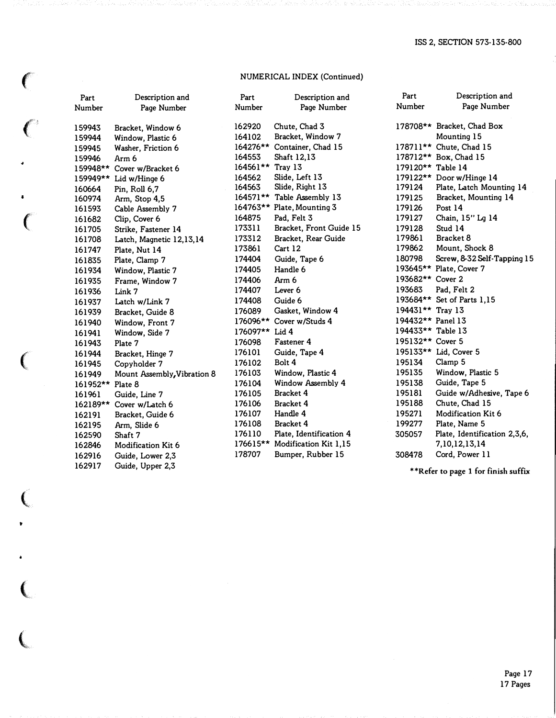# NUMERICAL INDEX (Continued)

 $\epsilon$ 

 $\big($ 

4

 $\bullet$ 

 $\overline{C}$ 

(

 $\pmb{\mathsf{v}}$ 

 $\bullet$ 

| Part             | Description and             | Part             | Description and                | Part              | Description and                     |
|------------------|-----------------------------|------------------|--------------------------------|-------------------|-------------------------------------|
| Number           | Page Number                 | Number           | Page Number                    | Number            | Page Number                         |
| 159943           | Bracket, Window 6           | 162920           | Chute, Chad 3                  |                   | 178708** Bracket, Chad Box          |
| 159944           | Window, Plastic 6           | 164102           | Bracket, Window 7              |                   | Mounting 15                         |
| 159945           | Washer, Friction 6          |                  | 164276** Container, Chad 15    |                   | 178711** Chute, Chad 15             |
| 159946           | Arm 6                       | 164553           | Shaft 12,13                    |                   | 178712** Box, Chad 15               |
|                  | 159948** Cover w/Bracket 6  | 164561** Tray 13 |                                | 179120** Table 14 |                                     |
| 159949**         | Lid w/Hinge 6               | 164562           | Slide, Left 13                 |                   | 179122** Door w/Hinge 14            |
| 160664           | Pin, Roll 6,7               | 164563           | Slide, Right 13                | 179124            | Plate, Latch Mounting 14            |
| 160974           | Arm, Stop 4,5               |                  | 164571** Table Assembly 13     | 179125            | Bracket, Mounting 14                |
| 161593           | Cable Assembly 7            |                  | 164763** Plate, Mounting 3     | 179126            | Post 14                             |
| 161682           | Clip, Cover 6               | 164875           | Pad, Felt 3                    | 179127            | Chain, 15" Lg 14                    |
| 161705           | Strike, Fastener 14         | 173311           | Bracket, Front Guide 15        | 179128            | Stud 14                             |
| 161708           | Latch, Magnetic 12,13,14    | 173312           | Bracket, Rear Guide            | 179861            | Bracket 8                           |
| 161747           | Plate, Nut 14               | 173861           | Cart 12                        | 179862            | Mount, Shock 8                      |
| 161835           | Plate, Clamp 7              | 174404           | Guide, Tape 6                  | 180798            | Screw, 8-32 Self-Tapping 15         |
| 161934           | Window, Plastic 7           | 174405           | Handle 6                       |                   | 193645** Plate, Cover 7             |
| 161935           | Frame, Window 7             | 174406           | Arm 6                          | 193682** Cover 2  |                                     |
| 161936           | Link 7                      | 174407           | Lever 6                        | 193683            | Pad, Felt 2                         |
| 161937           | Latch w/Link 7              | 174408           | Guide 6                        |                   | 193684** Set of Parts 1,15          |
| 161939           | Bracket, Guide 8            | 176089           | Gasket, Window 4               | 194431** Tray 13  |                                     |
| 161940           | Window, Front 7             |                  | 176096** Cover w/Studs 4       | 194432** Panel 13 |                                     |
| 161941           | Window, Side 7              | 176097** Lid 4   |                                | 194433** Table 13 |                                     |
| 161943           | Plate 7                     | 176098           | Fastener 4                     | 195132** Cover 5  |                                     |
| 161944           | Bracket, Hinge 7            | 176101           | Guide, Tape 4                  |                   | 195133** Lid, Cover 5               |
| 161945           | Copyholder 7                | 176102           | Bolt 4                         | 195134            | Clamp 5                             |
| 161949           | Mount Assembly, Vibration 8 | 176103           | Window, Plastic 4              | 195135            | Window, Plastic 5                   |
| 161952** Plate 8 |                             | 176104           | Window Assembly 4              | 195138            | Guide, Tape 5                       |
| 161961           | Guide, Line 7               | 176105           | Bracket 4                      | 195181            | Guide w/Adhesive, Tape 6            |
| 162189**         | Cover w/Latch 6             | 176106           | Bracket 4                      | 195188            | Chute, Chad 15                      |
| 162191           | Bracket, Guide 6            | 176107           | Handle 4                       | 195271            | Modification Kit 6                  |
| 162195           | Arm, Slide 6                | 176108           | Bracket 4                      | 199277            | Plate, Name 5                       |
| 162590           | Shaft 7                     | 176110           | Plate, Identification 4        | 305057            | Plate, Identification 2,3,6,        |
| 162846           | Modification Kit 6          |                  | 176615** Modification Kit 1,15 |                   | 7,10,12,13,14                       |
| 162916           | Guide, Lower 2,3            | 178707           | Bumper, Rubber 15              | 308478            | Cord, Power 11                      |
| 162917           | Guide, Upper 2,3            |                  |                                |                   |                                     |
|                  |                             |                  |                                |                   | **Refer to page 1 for finish suffix |

Page 17 17 Pages